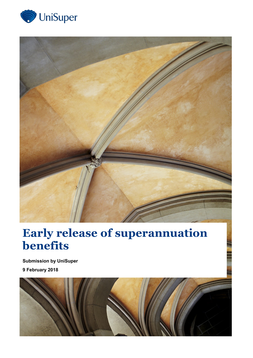



## **Early release of superannuation benefits**

**Submission by UniSuper 9 February 2018**

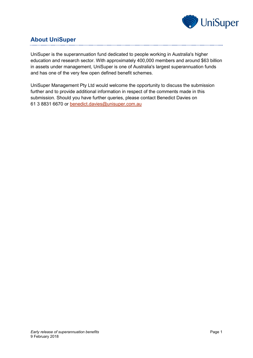

## **About UniSuper**

UniSuper is the superannuation fund dedicated to people working in Australia's higher education and research sector. With approximately 400,000 members and around \$63 billion in assets under management, UniSuper is one of Australia's largest superannuation funds and has one of the very few open defined benefit schemes.

UniSuper Management Pty Ltd would welcome the opportunity to discuss the submission further and to provide additional information in respect of the comments made in this submission. Should you have further queries, please contact Benedict Davies on 61 3 8831 6670 or [benedict.davies@unisuper.com.au](mailto:benedict.davies@unisuper.com.au)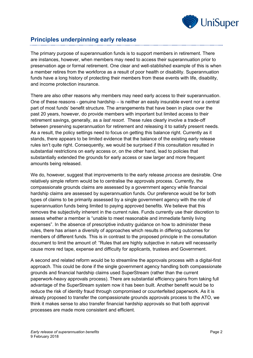

## **Principles underpinning early release**

The primary purpose of superannuation funds is to support members in retirement. There are instances, however, when members may need to access their superannuation prior to preservation age or formal retirement. One clear and well-stablished example of this is when a member retires from the workforce as a result of poor health or disability. Superannuation funds have a long history of protecting their members from these events with life, disability, and income protection insurance.

There are also other reasons why members may need early access to their superannuation. One of these reasons - genuine hardship – is neither an easily insurable event nor a central part of most funds' benefit structure. The arrangements that have been in place over the past 20 years, however, do provide members with important but limited access to their retirement savings, generally, as a *last resort*. These rules clearly involve a trade-off between preserving superannuation for retirement and releasing it to satisfy present needs. As a result, the policy settings need to focus on getting this balance right. Currently as it stands, there appears to be limited evidence that the balance of the existing early release rules isn't quite right. Consequently, we would be surprised if this consultation resulted in substantial restrictions on early access or, on the other hand, lead to policies that substantially extended the grounds for early access or saw larger and more frequent amounts being released.

We do, however, suggest that improvements to the early release *process* are desirable. One relatively simple reform would be to centralise the approvals process. Currently, the compassionate grounds claims are assessed by a government agency while financial hardship claims are assessed by superannuation funds. Our preference would be for both types of claims to be primarily assessed by a single government agency with the role of superannuation funds being limited to paying approved benefits. We believe that this removes the subjectivity inherent in the current rules. Funds currently use their discretion to assess whether a member is "unable to meet reasonable and immediate family living expenses". In the absence of prescriptive industry guidance on how to administer these rules, there has arisen a diversity of approaches which results in differing outcomes for members of different funds. This is in contrast to the proposed principle in the consultation document to limit the amount of: "Rules that are highly subjective in nature will necessarily cause more red tape, expense and difficulty for applicants, trustees and Government.

A second and related reform would be to streamline the approvals process with a digital-first approach. This could be done if the single government agency handling both compassionate grounds and financial hardship claims used SuperStream (rather than the current paperwork-heavy approvals process). There are substantial efficiency gains from taking full advantage of the SuperStream system now it has been built. Another benefit would be to reduce the risk of identity fraud through compromised or counterfeited paperwork. As it is already proposed to transfer the compassionate grounds approvals process to the ATO, we think it makes sense to also transfer financial hardship approvals so that both approval processes are made more consistent and efficient.